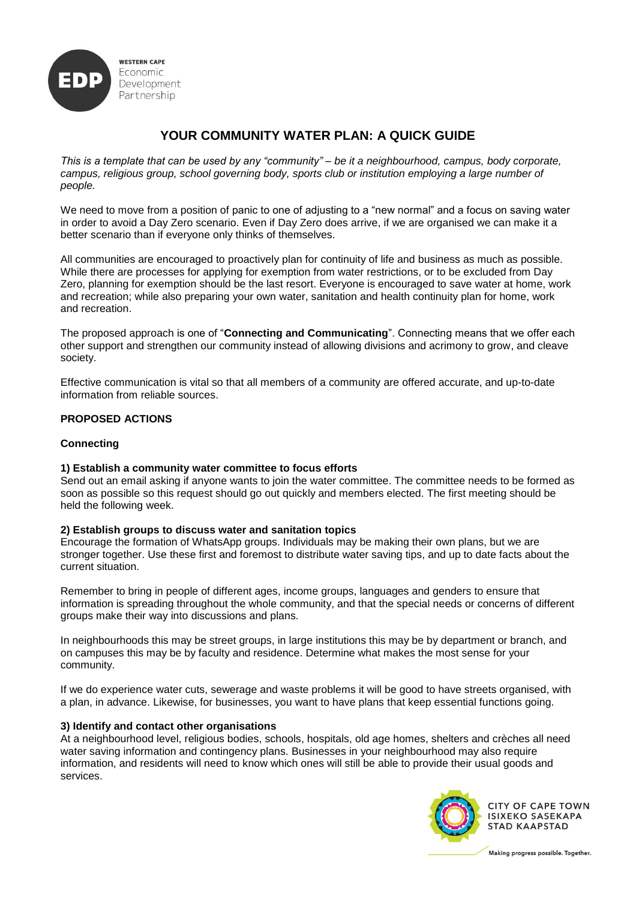

# **YOUR COMMUNITY WATER PLAN: A QUICK GUIDE**

*This is a template that can be used by any "community" – be it a neighbourhood, campus, body corporate, campus, religious group, school governing body, sports club or institution employing a large number of people.* 

We need to move from a position of panic to one of adjusting to a "new normal" and a focus on saving water in order to avoid a Day Zero scenario. Even if Day Zero does arrive, if we are organised we can make it a better scenario than if everyone only thinks of themselves.

All communities are encouraged to proactively plan for continuity of life and business as much as possible. While there are processes for applying for exemption from water restrictions, or to be excluded from Day Zero, planning for exemption should be the last resort. Everyone is encouraged to save water at home, work and recreation; while also preparing your own water, sanitation and health continuity plan for home, work and recreation.

The proposed approach is one of "**Connecting and Communicating**". Connecting means that we offer each other support and strengthen our community instead of allowing divisions and acrimony to grow, and cleave society.

Effective communication is vital so that all members of a community are offered accurate, and up-to-date information from reliable sources.

## **PROPOSED ACTIONS**

## **Connecting**

## **1) Establish a community water committee to focus efforts**

Send out an email asking if anyone wants to join the water committee. The committee needs to be formed as soon as possible so this request should go out quickly and members elected. The first meeting should be held the following week.

#### **2) Establish groups to discuss water and sanitation topics**

Encourage the formation of WhatsApp groups. Individuals may be making their own plans, but we are stronger together. Use these first and foremost to distribute water saving tips, and up to date facts about the current situation.

Remember to bring in people of different ages, income groups, languages and genders to ensure that information is spreading throughout the whole community, and that the special needs or concerns of different groups make their way into discussions and plans.

In neighbourhoods this may be street groups, in large institutions this may be by department or branch, and on campuses this may be by faculty and residence. Determine what makes the most sense for your community.

If we do experience water cuts, sewerage and waste problems it will be good to have streets organised, with a plan, in advance. Likewise, for businesses, you want to have plans that keep essential functions going.

## **3) Identify and contact other organisations**

At a neighbourhood level, religious bodies, schools, hospitals, old age homes, shelters and crèches all need water saving information and contingency plans. Businesses in your neighbourhood may also require information, and residents will need to know which ones will still be able to provide their usual goods and services.



**CITY OF CAPE TOWN ISIXEKO SASEKAPA STAD KAAPSTAD**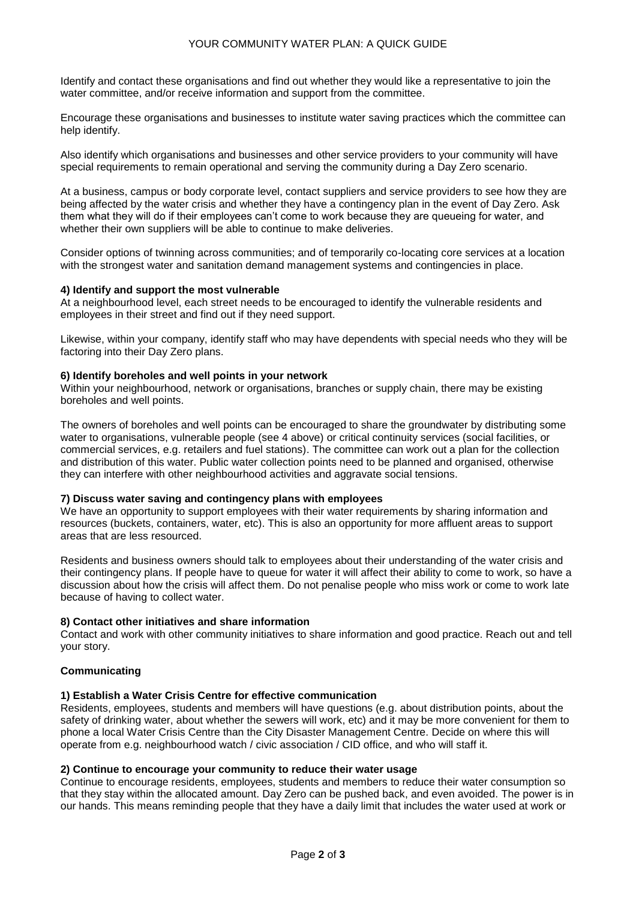#### YOUR COMMUNITY WATER PLAN: A QUICK GUIDE

Identify and contact these organisations and find out whether they would like a representative to join the water committee, and/or receive information and support from the committee.

Encourage these organisations and businesses to institute water saving practices which the committee can help identify.

Also identify which organisations and businesses and other service providers to your community will have special requirements to remain operational and serving the community during a Day Zero scenario.

At a business, campus or body corporate level, contact suppliers and service providers to see how they are being affected by the water crisis and whether they have a contingency plan in the event of Day Zero. Ask them what they will do if their employees can't come to work because they are queueing for water, and whether their own suppliers will be able to continue to make deliveries.

Consider options of twinning across communities; and of temporarily co-locating core services at a location with the strongest water and sanitation demand management systems and contingencies in place.

#### **4) Identify and support the most vulnerable**

At a neighbourhood level, each street needs to be encouraged to identify the vulnerable residents and employees in their street and find out if they need support.

Likewise, within your company, identify staff who may have dependents with special needs who they will be factoring into their Day Zero plans.

#### **6) Identify boreholes and well points in your network**

Within your neighbourhood, network or organisations, branches or supply chain, there may be existing boreholes and well points.

The owners of boreholes and well points can be encouraged to share the groundwater by distributing some water to organisations, vulnerable people (see 4 above) or critical continuity services (social facilities, or commercial services, e.g. retailers and fuel stations). The committee can work out a plan for the collection and distribution of this water. Public water collection points need to be planned and organised, otherwise they can interfere with other neighbourhood activities and aggravate social tensions.

#### **7) Discuss water saving and contingency plans with employees**

We have an opportunity to support employees with their water requirements by sharing information and resources (buckets, containers, water, etc). This is also an opportunity for more affluent areas to support areas that are less resourced.

Residents and business owners should talk to employees about their understanding of the water crisis and their contingency plans. If people have to queue for water it will affect their ability to come to work, so have a discussion about how the crisis will affect them. Do not penalise people who miss work or come to work late because of having to collect water.

#### **8) Contact other initiatives and share information**

Contact and work with other community initiatives to share information and good practice. Reach out and tell your story.

## **Communicating**

#### **1) Establish a Water Crisis Centre for effective communication**

Residents, employees, students and members will have questions (e.g. about distribution points, about the safety of drinking water, about whether the sewers will work, etc) and it may be more convenient for them to phone a local Water Crisis Centre than the City Disaster Management Centre. Decide on where this will operate from e.g. neighbourhood watch / civic association / CID office, and who will staff it.

#### **2) Continue to encourage your community to reduce their water usage**

Continue to encourage residents, employees, students and members to reduce their water consumption so that they stay within the allocated amount. Day Zero can be pushed back, and even avoided. The power is in our hands. This means reminding people that they have a daily limit that includes the water used at work or